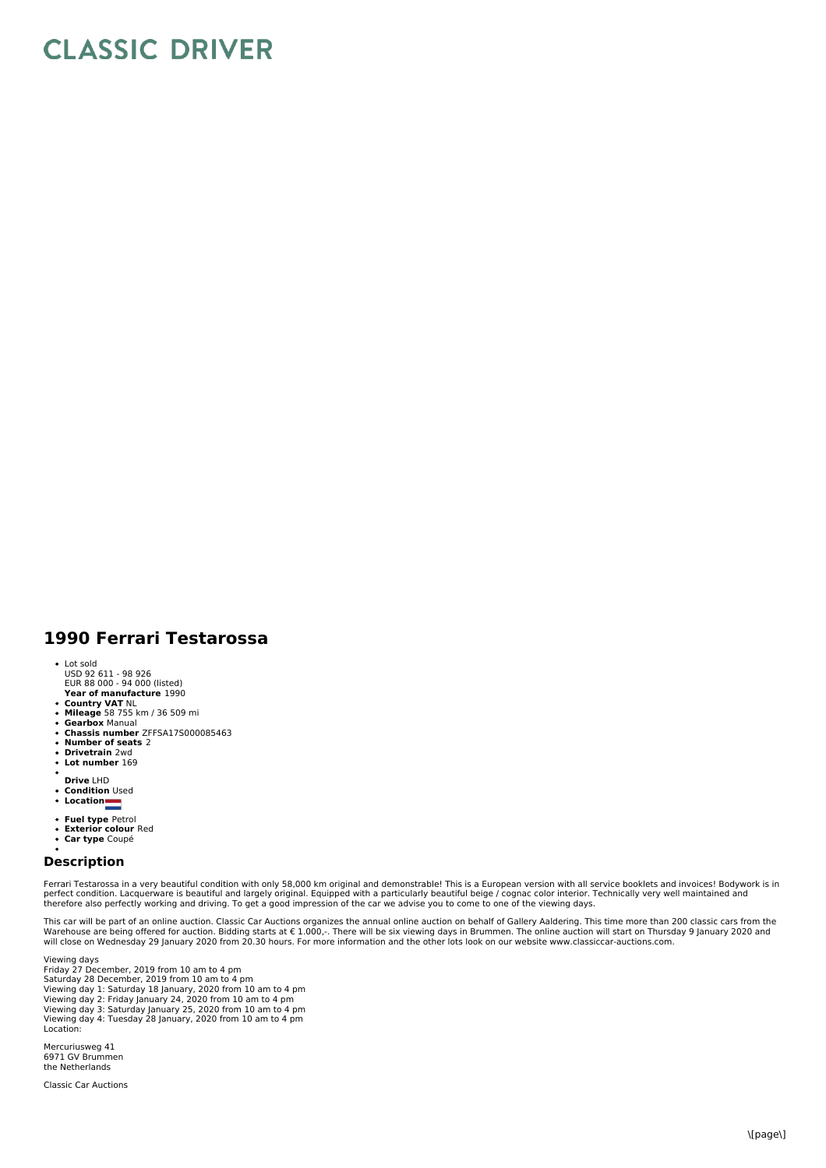## **CLASSIC DRIVER**

## **1990 Ferrari Testarossa**

- Lot sold
- USD 92 611 98 926 EUR 88 000 94 000 (listed)
- **Year of manufacture** 1990
- **Country VAT** NL **Mileage** 58 755 km / 36 509 mi
- $\ddot{\phantom{0}}$ **Gearbox** Manual
- **Chassis number** ZFFSA17S000085463  $\bullet$
- **Number of seats** 2
- $\bullet$ **Drivetrain** 2wd  $\ddot{\phantom{a}}$ **Lot number** 169
- 
- **Drive** LHD **Condition** Used
- 
- **Location**
- 
- **Fuel type** Petrol **Exterior colour** Red
- **Car type** Coupé

## **Description**

Ferrari Testarossa in a very beautiful condition with only 58,000 km original and demonstrable! This is a European version with all service booklets and invoices! Bodywork is in perfect condition. Lacquerware is beautiful and largely original. Equipped with a particularly beautiful beige / cognac color interior. Technically very well maintained and<br>therefore also perfectly working and driving. To

This car will be part of an online auction. Classic Car Auctions organizes the annual online auction on behalf of Gallery Aaldering. This time more than 200 classic cars from the<br>Warehouse are being offered for auction. Bi

Viewing days Friday 27 December, 2019 from 10 am to 4 pm Saturday 28 December, 2019 from 10 am to 4 pm Viewing day 1: Saturday 18 January, 2020 from 10 am to 4 pm Viewing day 2: Friday January 24, 2020 from 10 am to 4 pm Viewing day 3: Saturday January 25, 2020 from 10 am to 4 pm Viewing day 4: Tuesday 28 January, 2020 from 10 am to 4 pm Location:

Mercuriusweg 41 6971 GV Brummen the Netherlands

Classic Car Auctions